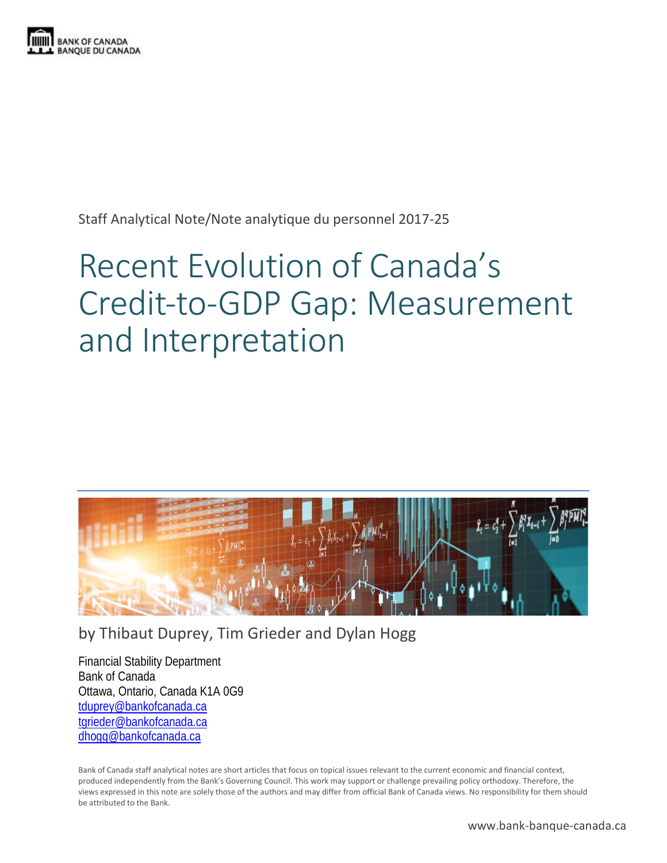

Staff Analytical Note/Note analytique du personnel 2017-25

# Recent Evolution of Canada's Credit-to-GDP Gap: Measurement and Interpretation



by Thibaut Duprey, Tim Grieder and Dylan Hogg

Financial Stability Department Bank of Canada Ottawa, Ontario, Canada K1A 0G9 [tduprey@bankofcanada.ca](mailto:tduprey@bankofcanada.ca) [tgrieder@bankofcanada.ca](mailto:tgrieder@bankofcanada.ca) [dhogg@bankofcanada.ca](mailto:dhogg@bankofcanada.ca)

Bank of Canada staff analytical notes are short articles that focus on topical issues relevant to the current economic and financial context, produced independently from the Bank's Governing Council. This work may support or challenge prevailing policy orthodoxy. Therefore, the views expressed in this note are solely those of the authors and may differ from official Bank of Canada views. No responsibility for them should be attributed to the Bank.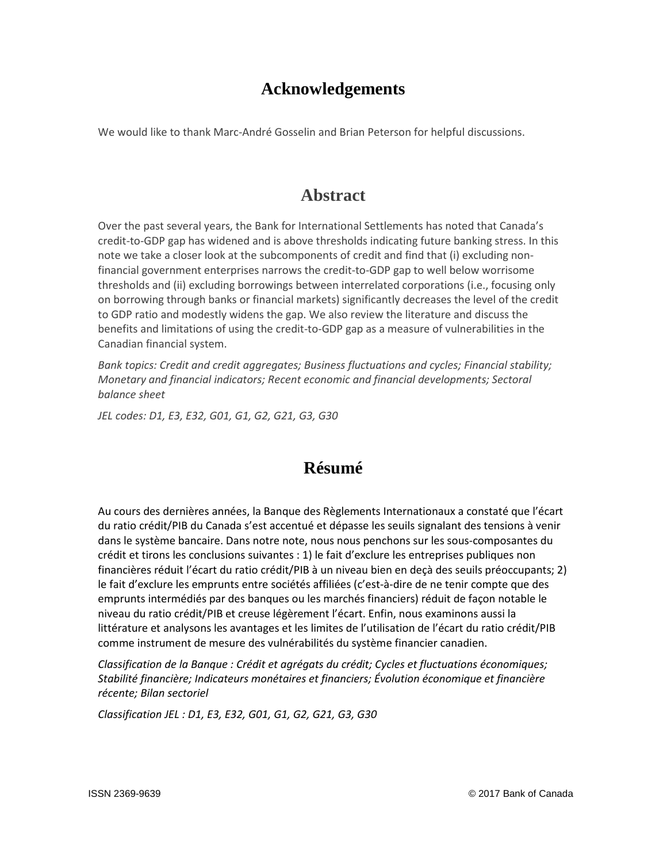## **Acknowledgements**

We would like to thank Marc-André Gosselin and Brian Peterson for helpful discussions.

#### **Abstract**

Over the past several years, the Bank for International Settlements has noted that Canada's credit-to-GDP gap has widened and is above thresholds indicating future banking stress. In this note we take a closer look at the subcomponents of credit and find that (i) excluding nonfinancial government enterprises narrows the credit-to-GDP gap to well below worrisome thresholds and (ii) excluding borrowings between interrelated corporations (i.e., focusing only on borrowing through banks or financial markets) significantly decreases the level of the credit to GDP ratio and modestly widens the gap. We also review the literature and discuss the benefits and limitations of using the credit-to-GDP gap as a measure of vulnerabilities in the Canadian financial system.

*Bank topics: Credit and credit aggregates; Business fluctuations and cycles; Financial stability; Monetary and financial indicators; Recent economic and financial developments; Sectoral balance sheet*

*JEL codes: D1, E3, E32, G01, G1, G2, G21, G3, G30*

## **Résumé**

Au cours des dernières années, la Banque des Règlements Internationaux a constaté que l'écart du ratio crédit/PIB du Canada s'est accentué et dépasse les seuils signalant des tensions à venir dans le système bancaire. Dans notre note, nous nous penchons sur les sous-composantes du crédit et tirons les conclusions suivantes : 1) le fait d'exclure les entreprises publiques non financières réduit l'écart du ratio crédit/PIB à un niveau bien en deçà des seuils préoccupants; 2) le fait d'exclure les emprunts entre sociétés affiliées (c'est-à-dire de ne tenir compte que des emprunts intermédiés par des banques ou les marchés financiers) réduit de façon notable le niveau du ratio crédit/PIB et creuse légèrement l'écart. Enfin, nous examinons aussi la littérature et analysons les avantages et les limites de l'utilisation de l'écart du ratio crédit/PIB comme instrument de mesure des vulnérabilités du système financier canadien.

*Classification de la Banque : Crédit et agrégats du crédit; Cycles et fluctuations économiques; Stabilité financière; Indicateurs monétaires et financiers; Évolution économique et financière récente; Bilan sectoriel*

*Classification JEL : D1, E3, E32, G01, G1, G2, G21, G3, G30*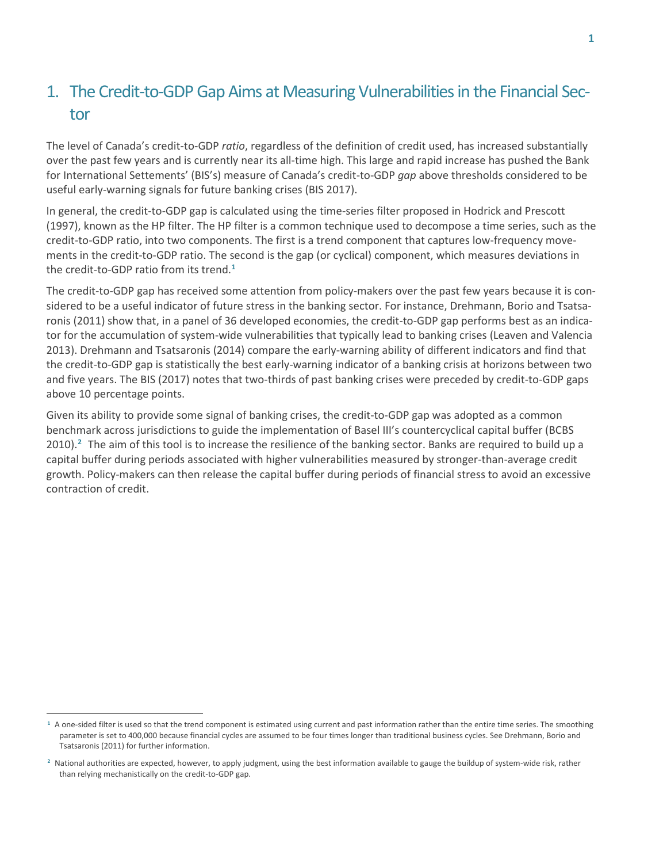## 1. The Credit-to-GDP Gap Aims at Measuring Vulnerabilities in the Financial Sector

The level of Canada's credit-to-GDP *ratio*, regardless of the definition of credit used, has increased substantially over the past few years and is currently near its all-time high. This large and rapid increase has pushed the Bank for International Settements' (BIS's) measure of Canada's credit-to-GDP *gap* above thresholds considered to be useful early-warning signals for future banking crises (BIS 2017).

In general, the credit-to-GDP gap is calculated using the time-series filter proposed in Hodrick and Prescott (1997), known as the HP filter. The HP filter is a common technique used to decompose a time series, such as the credit-to-GDP ratio, into two components. The first is a trend component that captures low-frequency movements in the credit-to-GDP ratio. The second is the gap (or cyclical) component, which measures deviations in the credit-to-GDP ratio from its trend.**[1](#page-2-0)**

The credit-to-GDP gap has received some attention from policy-makers over the past few years because it is considered to be a useful indicator of future stress in the banking sector. For instance, Drehmann, Borio and Tsatsaronis (2011) show that, in a panel of 36 developed economies, the credit-to-GDP gap performs best as an indicator for the accumulation of system-wide vulnerabilities that typically lead to banking crises (Leaven and Valencia 2013). Drehmann and Tsatsaronis (2014) compare the early-warning ability of different indicators and find that the credit-to-GDP gap is statistically the best early-warning indicator of a banking crisis at horizons between two and five years. The BIS (2017) notes that two-thirds of past banking crises were preceded by credit-to-GDP gaps above 10 percentage points.

Given its ability to provide some signal of banking crises, the credit-to-GDP gap was adopted as a common benchmark across jurisdictions to guide the implementation of Basel III's countercyclical capital buffer (BCBS 2010).**[2](#page-2-1)** The aim of this tool is to increase the resilience of the banking sector. Banks are required to build up a capital buffer during periods associated with higher vulnerabilities measured by stronger-than-average credit growth. Policy-makers can then release the capital buffer during periods of financial stress to avoid an excessive contraction of credit.

 $\overline{a}$ 

<span id="page-2-0"></span><sup>&</sup>lt;sup>1</sup> A one-sided filter is used so that the trend component is estimated using current and past information rather than the entire time series. The smoothing parameter is set to 400,000 because financial cycles are assumed to be four times longer than traditional business cycles. See Drehmann, Borio and Tsatsaronis (2011) for further information.

<span id="page-2-1"></span>**<sup>2</sup>** National authorities are expected, however, to apply judgment, using the best information available to gauge the buildup of system-wide risk, rather than relying mechanistically on the credit-to-GDP gap.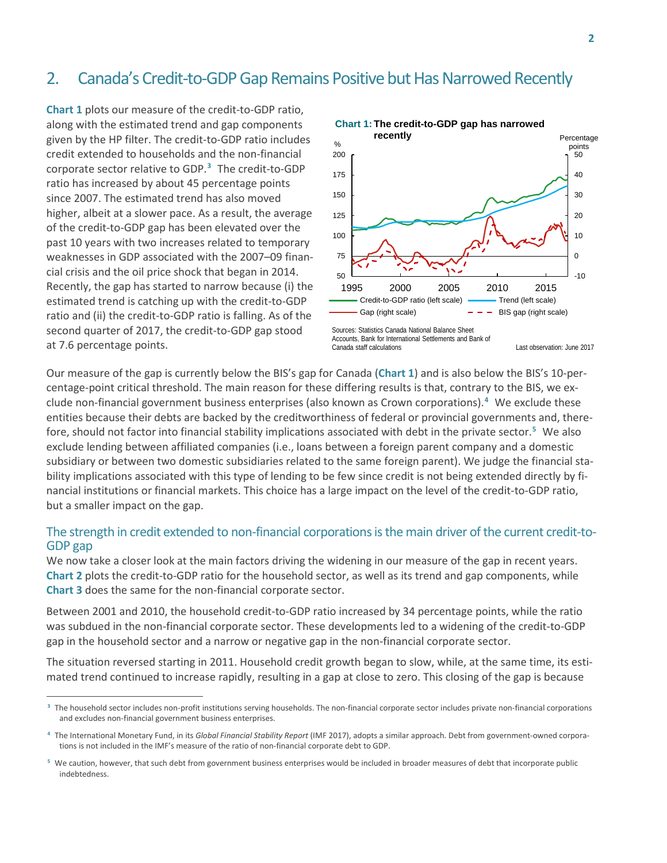## 2. Canada's Credit-to-GDP Gap Remains Positive but Has Narrowed Recently

**Chart 1** plots our measure of the credit-to-GDP ratio, along with the estimated trend and gap components given by the HP filter. The credit-to-GDP ratio includes credit extended to households and the non-financial corporate sector relative to GDP.**[3](#page-3-0)** The credit-to-GDP ratio has increased by about 45 percentage points since 2007. The estimated trend has also moved higher, albeit at a slower pace. As a result, the average of the credit-to-GDP gap has been elevated over the past 10 years with two increases related to temporary weaknesses in GDP associated with the 2007–09 financial crisis and the oil price shock that began in 2014. Recently, the gap has started to narrow because (i) the estimated trend is catching up with the credit-to-GDP ratio and (ii) the credit-to-GDP ratio is falling. As of the second quarter of 2017, the credit-to-GDP gap stood at 7.6 percentage points.

 $\overline{a}$ 



Our measure of the gap is currently below the BIS's gap for Canada (**Chart 1**) and is also below the BIS's 10-percentage-point critical threshold. The main reason for these differing results is that, contrary to the BIS, we exclude non-financial government business enterprises (also known as Crown corporations).**[4](#page-3-1)** We exclude these entities because their debts are backed by the creditworthiness of federal or provincial governments and, therefore, should not factor into financial stability implications associated with debt in the private sector. **[5](#page-3-2)** We also exclude lending between affiliated companies (i.e., loans between a foreign parent company and a domestic subsidiary or between two domestic subsidiaries related to the same foreign parent). We judge the financial stability implications associated with this type of lending to be few since credit is not being extended directly by financial institutions or financial markets. This choice has a large impact on the level of the credit-to-GDP ratio, but a smaller impact on the gap.

## The strength in credit extended to non-financial corporations is the main driver of the current credit-to- GDP gap

We now take a closer look at the main factors driving the widening in our measure of the gap in recent years. **Chart 2** plots the credit-to-GDP ratio for the household sector, as well as its trend and gap components, while **Chart 3** does the same for the non-financial corporate sector.

Between 2001 and 2010, the household credit-to-GDP ratio increased by 34 percentage points, while the ratio was subdued in the non-financial corporate sector. These developments led to a widening of the credit-to-GDP gap in the household sector and a narrow or negative gap in the non-financial corporate sector.

The situation reversed starting in 2011. Household credit growth began to slow, while, at the same time, its estimated trend continued to increase rapidly, resulting in a gap at close to zero. This closing of the gap is because

<span id="page-3-0"></span>**<sup>3</sup>** The household sector includes non-profit institutions serving households. The non-financial corporate sector includes private non-financial corporations and excludes non-financial government business enterprises.

<span id="page-3-1"></span>**<sup>4</sup>** The International Monetary Fund, in its *Global Financial Stability Report* (IMF 2017), adopts a similar approach. Debt from government-owned corporations is not included in the IMF's measure of the ratio of non-financial corporate debt to GDP.

<span id="page-3-2"></span>**<sup>5</sup>** We caution, however, that such debt from government business enterprises would be included in broader measures of debt that incorporate public indebtedness.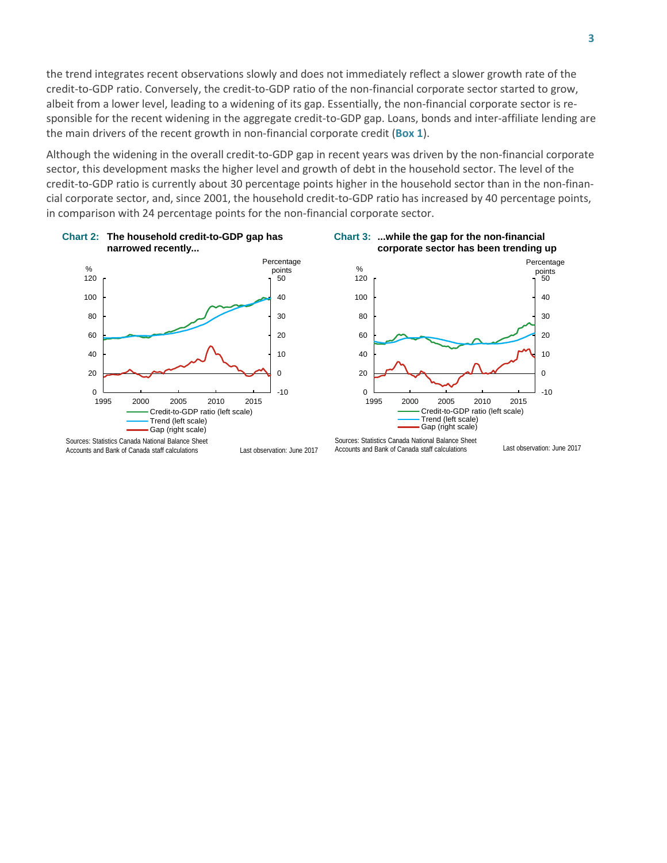the trend integrates recent observations slowly and does not immediately reflect a slower growth rate of the credit-to-GDP ratio. Conversely, the credit-to-GDP ratio of the non-financial corporate sector started to grow, albeit from a lower level, leading to a widening of its gap. Essentially, the non-financial corporate sector is responsible for the recent widening in the aggregate credit-to-GDP gap. Loans, bonds and inter-affiliate lending are the main drivers of the recent growth in non-financial corporate credit (**Box 1**).

Although the widening in the overall credit-to-GDP gap in recent years was driven by the non-financial corporate sector, this development masks the higher level and growth of debt in the household sector. The level of the credit-to-GDP ratio is currently about 30 percentage points higher in the household sector than in the non-financial corporate sector, and, since 2001, the household credit-to-GDP ratio has increased by 40 percentage points, in comparison with 24 percentage points for the non-financial corporate sector.







Accounts and Bank of Canada staff calculations

Last observation: June 2017

Sources: Statistics Canada National Balance Sheet Accounts and Bank of Canada staff calculations

Last observation: June 2017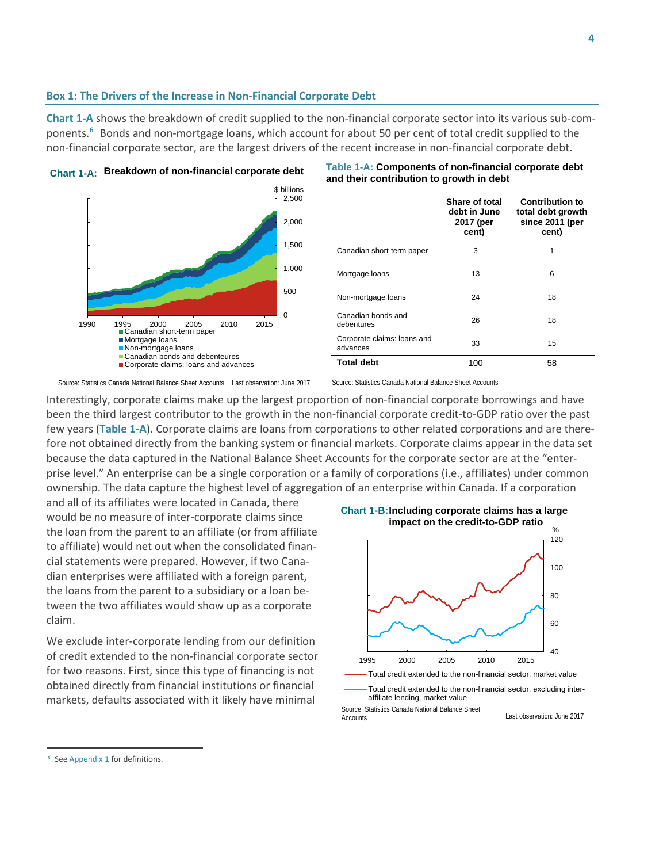#### **Box 1: The Drivers of the Increase in Non-Financial Corporate Debt**

**Chart 1-A** shows the breakdown of credit supplied to the non-financial corporate sector into its various sub-components.**[6](#page-5-0)** Bonds and non-mortgage loans, which account for about 50 per cent of total credit supplied to the non-financial corporate sector, are the largest drivers of the recent increase in non-financial corporate debt.





**Breakdown of non-financial corporate debt Table 1-A: Components of non-financial corporate debt and their contribution to growth in debt**

**Share of total** 

|                                         | Share of total<br>debt in June<br>2017 (per<br>cent) | <b>Contribution to</b><br>total debt growth<br>since 2011 (per<br>cent) |
|-----------------------------------------|------------------------------------------------------|-------------------------------------------------------------------------|
| Canadian short-term paper               | 3                                                    | 1                                                                       |
| Mortgage loans                          | 13                                                   | 6                                                                       |
| Non-mortgage loans                      | 24                                                   | 18                                                                      |
| Canadian bonds and<br>debentures        | 26                                                   | 18                                                                      |
| Corporate claims: Ioans and<br>advances | 33                                                   | 15                                                                      |
| <b>Total debt</b>                       | 100                                                  | 58                                                                      |

Source: Statistics Canada National Balance Sheet Accounts Last observation: June 2017

Source: Statistics Canada National Balance Sheet Accounts

Interestingly, corporate claims make up the largest proportion of non-financial corporate borrowings and have been the third largest contributor to the growth in the non-financial corporate credit-to-GDP ratio over the past few years (**Table 1-A**). Corporate claims are loans from corporations to other related corporations and are therefore not obtained directly from the banking system or financial markets. Corporate claims appear in the data set because the data captured in the National Balance Sheet Accounts for the corporate sector are at the "enterprise level." An enterprise can be a single corporation or a family of corporations (i.e., affiliates) under common ownership. The data capture the highest level of aggregation of an enterprise within Canada. If a corporation

and all of its affiliates were located in Canada, there would be no measure of inter-corporate claims since the loan from the parent to an affiliate (or from affiliate to affiliate) would net out when the consolidated financial statements were prepared. However, if two Canadian enterprises were affiliated with a foreign parent, the loans from the parent to a subsidiary or a loan between the two affiliates would show up as a corporate claim.

We exclude inter-corporate lending from our definition of credit extended to the non-financial corporate sector for two reasons. First, since this type of financing is not obtained directly from financial institutions or financial markets, defaults associated with it likely have minimal



Total credit extended to the non-financial sector, excluding interaffiliate lending, market value

Source: Statistics Canada National Balance Sheet **Accounts** 

Last observation: June 2017

 $\overline{a}$ 

<span id="page-5-0"></span>**<sup>6</sup>** See Appendix 1 for definitions.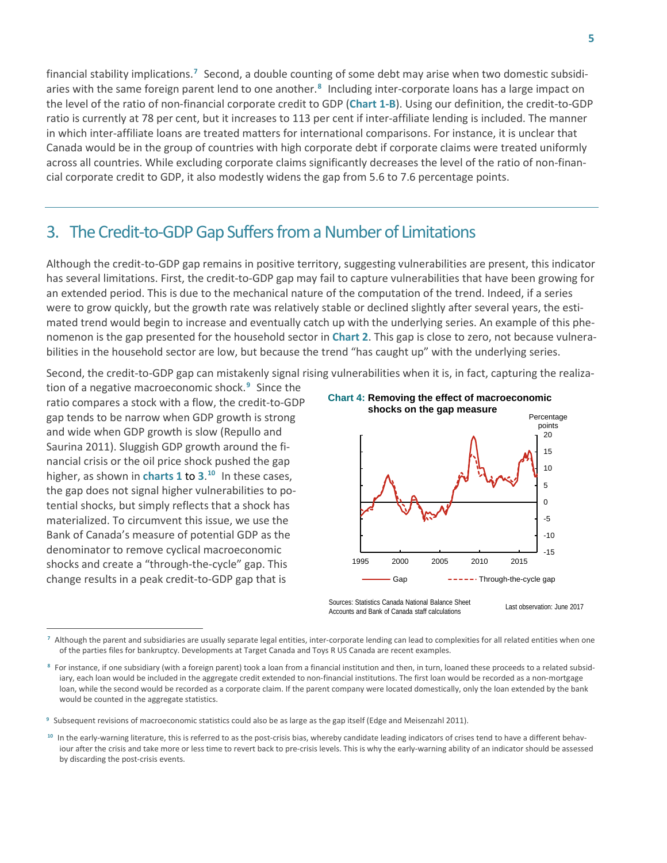financial stability implications.**[7](#page-6-0)** Second, a double counting of some debt may arise when two domestic subsidiaries with the same foreign parent lend to one another.**[8](#page-6-1)** Including inter-corporate loans has a large impact on the level of the ratio of non-financial corporate credit to GDP (**Chart 1-B**). Using our definition, the credit-to-GDP ratio is currently at 78 per cent, but it increases to 113 per cent if inter-affiliate lending is included. The manner in which inter-affiliate loans are treated matters for international comparisons. For instance, it is unclear that Canada would be in the group of countries with high corporate debt if corporate claims were treated uniformly across all countries. While excluding corporate claims significantly decreases the level of the ratio of non-financial corporate credit to GDP, it also modestly widens the gap from 5.6 to 7.6 percentage points.

## 3. The Credit-to-GDP Gap Suffers from a Number of Limitations

Although the credit-to-GDP gap remains in positive territory, suggesting vulnerabilities are present, this indicator has several limitations. First, the credit-to-GDP gap may fail to capture vulnerabilities that have been growing for an extended period. This is due to the mechanical nature of the computation of the trend. Indeed, if a series were to grow quickly, but the growth rate was relatively stable or declined slightly after several years, the estimated trend would begin to increase and eventually catch up with the underlying series. An example of this phenomenon is the gap presented for the household sector in **Chart 2**. This gap is close to zero, not because vulnerabilities in the household sector are low, but because the trend "has caught up" with the underlying series.

Second, the credit-to-GDP gap can mistakenly signal rising vulnerabilities when it is, in fact, capturing the realiza-

tion of a negative macroeconomic shock.**[9](#page-6-2)** Since the ratio compares a stock with a flow, the credit-to-GDP gap tends to be narrow when GDP growth is strong and wide when GDP growth is slow (Repullo and Saurina 2011). Sluggish GDP growth around the financial crisis or the oil price shock pushed the gap higher, as shown in **charts 1** to **3**. **[10](#page-6-3)** In these cases, the gap does not signal higher vulnerabilities to potential shocks, but simply reflects that a shock has materialized. To circumvent this issue, we use the Bank of Canada's measure of potential GDP as the denominator to remove cyclical macroeconomic shocks and create a "through-the-cycle" gap. This change results in a peak credit-to-GDP gap that is

 $\overline{a}$ 



Last observation: June 2017 Sources: Statistics Canada National Balance Sheet Accounts and Bank of Canada staff calculations

<span id="page-6-0"></span>**<sup>7</sup>** Although the parent and subsidiaries are usually separate legal entities, inter-corporate lending can lead to complexities for all related entities when one of the parties files for bankruptcy. Developments at Target Canada and Toys R US Canada are recent examples.

<span id="page-6-1"></span>**<sup>8</sup>** For instance, if one subsidiary (with a foreign parent) took a loan from a financial institution and then, in turn, loaned these proceeds to a related subsidiary, each loan would be included in the aggregate credit extended to non-financial institutions. The first loan would be recorded as a non-mortgage loan, while the second would be recorded as a corporate claim. If the parent company were located domestically, only the loan extended by the bank would be counted in the aggregate statistics.

<span id="page-6-2"></span>**<sup>9</sup>** Subsequent revisions of macroeconomic statistics could also be as large as the gap itself (Edge and Meisenzahl 2011).

<span id="page-6-3"></span><sup>&</sup>lt;sup>10</sup> In the early-warning literature, this is referred to as the post-crisis bias, whereby candidate leading indicators of crises tend to have a different behaviour after the crisis and take more or less time to revert back to pre-crisis levels. This is why the early-warning ability of an indicator should be assessed by discarding the post-crisis events.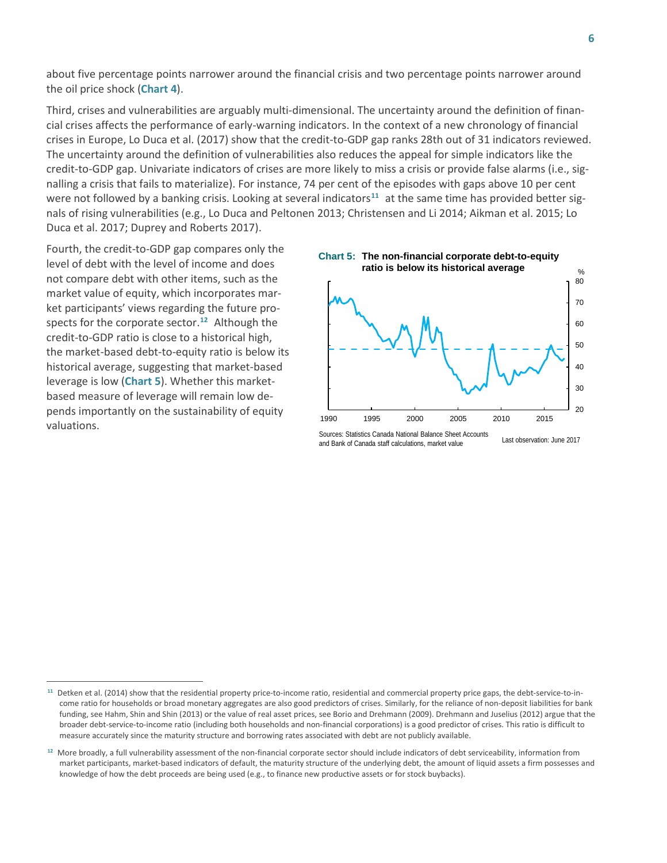about five percentage points narrower around the financial crisis and two percentage points narrower around the oil price shock (**Chart 4**).

Third, crises and vulnerabilities are arguably multi-dimensional. The uncertainty around the definition of financial crises affects the performance of early-warning indicators. In the context of a new chronology of financial crises in Europe, Lo Duca et al. (2017) show that the credit-to-GDP gap ranks 28th out of 31 indicators reviewed. The uncertainty around the definition of vulnerabilities also reduces the appeal for simple indicators like the credit-to-GDP gap. Univariate indicators of crises are more likely to miss a crisis or provide false alarms (i.e., signalling a crisis that fails to materialize). For instance, 74 per cent of the episodes with gaps above 10 per cent were not followed by a banking crisis. Looking at several indicators<sup>[11](#page-7-0)</sup> at the same time has provided better signals of rising vulnerabilities (e.g., Lo Duca and Peltonen 2013; Christensen and Li 2014; Aikman et al. 2015; Lo Duca et al. 2017; Duprey and Roberts 2017).

Fourth, the credit-to-GDP gap compares only the level of debt with the level of income and does not compare debt with other items, such as the market value of equity, which incorporates market participants' views regarding the future prospects for the corporate sector. **[12](#page-7-1)** Although the credit-to-GDP ratio is close to a historical high, the market-based debt-to-equity ratio is below its historical average, suggesting that market-based leverage is low (**Chart 5**). Whether this marketbased measure of leverage will remain low depends importantly on the sustainability of equity valuations.

 $\overline{a}$ 



Sources: Statistics Canada National Balance Sheet Accounts and Bank of Canada staff calculations, market value Last observation: June 2017

<span id="page-7-0"></span>**<sup>11</sup>** Detken et al. (2014) show that the residential property price-to-income ratio, residential and commercial property price gaps, the debt-service-to-income ratio for households or broad monetary aggregates are also good predictors of crises. Similarly, for the reliance of non-deposit liabilities for bank funding, see Hahm, Shin and Shin (2013) or the value of real asset prices, see Borio and Drehmann (2009). Drehmann and Juselius (2012) argue that the broader debt-service-to-income ratio (including both households and non-financial corporations) is a good predictor of crises. This ratio is difficult to measure accurately since the maturity structure and borrowing rates associated with debt are not publicly available.

<span id="page-7-1"></span>**<sup>12</sup>** More broadly, a full vulnerability assessment of the non-financial corporate sector should include indicators of debt serviceability, information from market participants, market-based indicators of default, the maturity structure of the underlying debt, the amount of liquid assets a firm possesses and knowledge of how the debt proceeds are being used (e.g., to finance new productive assets or for stock buybacks).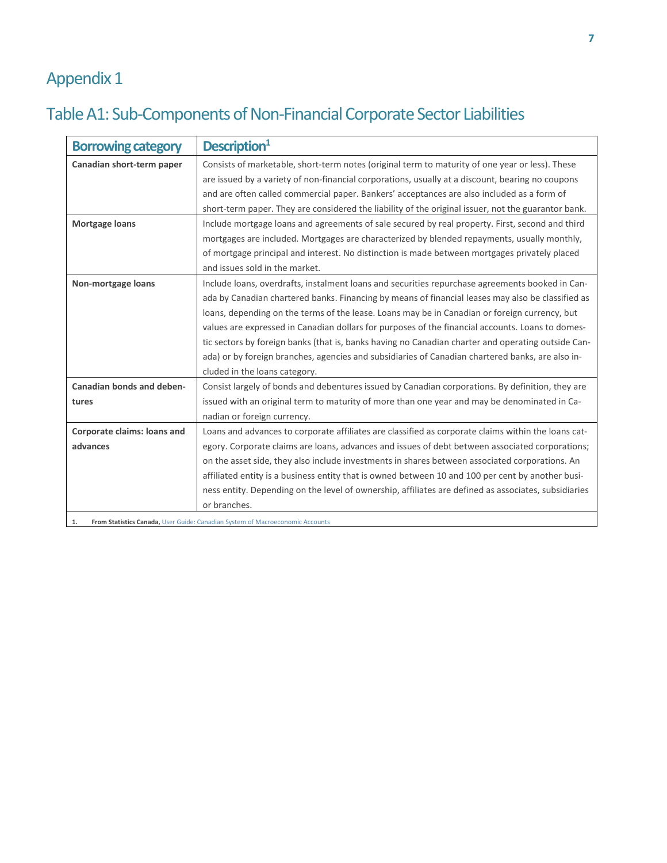## Appendix 1

## Table A1: Sub-Components of Non-Financial Corporate Sector Liabilities

| <b>Borrowing category</b>                                                           | Description <sup>1</sup>                                                                             |  |
|-------------------------------------------------------------------------------------|------------------------------------------------------------------------------------------------------|--|
| Canadian short-term paper                                                           | Consists of marketable, short-term notes (original term to maturity of one year or less). These      |  |
|                                                                                     | are issued by a variety of non-financial corporations, usually at a discount, bearing no coupons     |  |
|                                                                                     | and are often called commercial paper. Bankers' acceptances are also included as a form of           |  |
|                                                                                     | short-term paper. They are considered the liability of the original issuer, not the guarantor bank.  |  |
| Mortgage loans                                                                      | Include mortgage loans and agreements of sale secured by real property. First, second and third      |  |
|                                                                                     | mortgages are included. Mortgages are characterized by blended repayments, usually monthly,          |  |
|                                                                                     | of mortgage principal and interest. No distinction is made between mortgages privately placed        |  |
|                                                                                     | and issues sold in the market.                                                                       |  |
| Non-mortgage loans                                                                  | Include loans, overdrafts, instalment loans and securities repurchase agreements booked in Can-      |  |
|                                                                                     | ada by Canadian chartered banks. Financing by means of financial leases may also be classified as    |  |
|                                                                                     | loans, depending on the terms of the lease. Loans may be in Canadian or foreign currency, but        |  |
|                                                                                     | values are expressed in Canadian dollars for purposes of the financial accounts. Loans to domes-     |  |
|                                                                                     | tic sectors by foreign banks (that is, banks having no Canadian charter and operating outside Can-   |  |
|                                                                                     | ada) or by foreign branches, agencies and subsidiaries of Canadian chartered banks, are also in-     |  |
|                                                                                     | cluded in the loans category.                                                                        |  |
| Canadian bonds and deben-                                                           | Consist largely of bonds and debentures issued by Canadian corporations. By definition, they are     |  |
| tures                                                                               | issued with an original term to maturity of more than one year and may be denominated in Ca-         |  |
|                                                                                     | nadian or foreign currency.                                                                          |  |
| Corporate claims: loans and                                                         | Loans and advances to corporate affiliates are classified as corporate claims within the loans cat-  |  |
| advances                                                                            | egory. Corporate claims are loans, advances and issues of debt between associated corporations;      |  |
|                                                                                     | on the asset side, they also include investments in shares between associated corporations. An       |  |
|                                                                                     | affiliated entity is a business entity that is owned between 10 and 100 per cent by another busi-    |  |
|                                                                                     | ness entity. Depending on the level of ownership, affiliates are defined as associates, subsidiaries |  |
|                                                                                     | or branches.                                                                                         |  |
| From Statistics Canada, User Guide: Canadian System of Macroeconomic Accounts<br>1. |                                                                                                      |  |